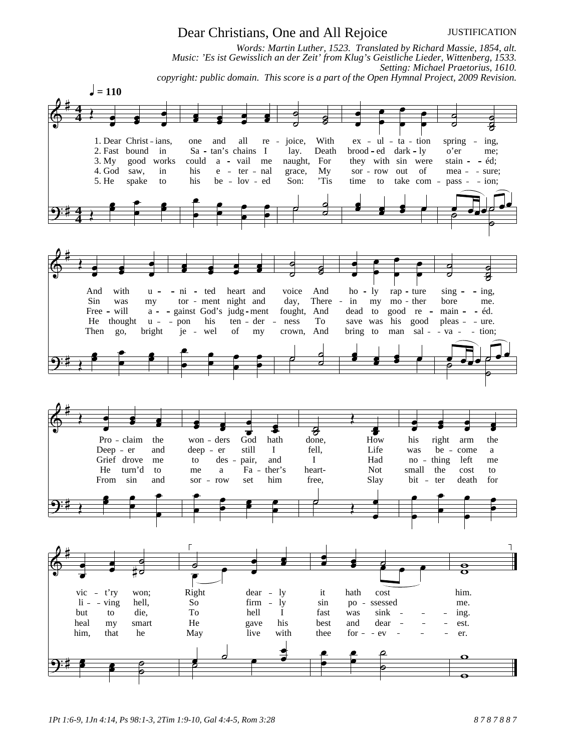## *1Pt 1:6-9, 1Jn 4:14, Ps 98:1-3, 2Tim 1:9-10, Gal 4:4-5, Rom 3:28 8 7 8 7 8 8 7*

## Dear Christians, One and All Rejoice

*Words: Martin Luther, 1523. Translated by Richard Massie, 1854, alt. Music: 'Es ist Gewisslich an der Zeit' from Klug's Geistliche Lieder, Wittenberg, 1533. Setting: Michael Praetorius, 1610. copyright: public domain. This score is a part of the Open Hymnal Project, 2009 Revision.*



JUSTIFICATION